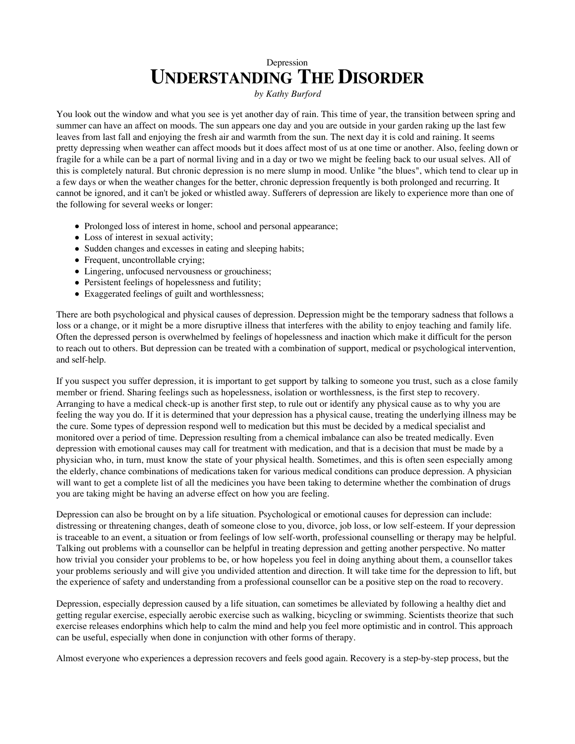## Depression **UNDERSTANDING THE DISORDER**

*by Kathy Burford*

You look out the window and what you see is yet another day of rain. This time of year, the transition between spring and summer can have an affect on moods. The sun appears one day and you are outside in your garden raking up the last few leaves from last fall and enjoying the fresh air and warmth from the sun. The next day it is cold and raining. It seems pretty depressing when weather can affect moods but it does affect most of us at one time or another. Also, feeling down or fragile for a while can be a part of normal living and in a day or two we might be feeling back to our usual selves. All of this is completely natural. But chronic depression is no mere slump in mood. Unlike "the blues", which tend to clear up in a few days or when the weather changes for the better, chronic depression frequently is both prolonged and recurring. It cannot be ignored, and it can't be joked or whistled away. Sufferers of depression are likely to experience more than one of the following for several weeks or longer:

- Prolonged loss of interest in home, school and personal appearance;
- Loss of interest in sexual activity;
- Sudden changes and excesses in eating and sleeping habits;
- Frequent, uncontrollable crying;
- Lingering, unfocused nervousness or grouchiness;
- Persistent feelings of hopelessness and futility;
- Exaggerated feelings of guilt and worthlessness;

There are both psychological and physical causes of depression. Depression might be the temporary sadness that follows a loss or a change, or it might be a more disruptive illness that interferes with the ability to enjoy teaching and family life. Often the depressed person is overwhelmed by feelings of hopelessness and inaction which make it difficult for the person to reach out to others. But depression can be treated with a combination of support, medical or psychological intervention, and self-help.

If you suspect you suffer depression, it is important to get support by talking to someone you trust, such as a close family member or friend. Sharing feelings such as hopelessness, isolation or worthlessness, is the first step to recovery. Arranging to have a medical check-up is another first step, to rule out or identify any physical cause as to why you are feeling the way you do. If it is determined that your depression has a physical cause, treating the underlying illness may be the cure. Some types of depression respond well to medication but this must be decided by a medical specialist and monitored over a period of time. Depression resulting from a chemical imbalance can also be treated medically. Even depression with emotional causes may call for treatment with medication, and that is a decision that must be made by a physician who, in turn, must know the state of your physical health. Sometimes, and this is often seen especially among the elderly, chance combinations of medications taken for various medical conditions can produce depression. A physician will want to get a complete list of all the medicines you have been taking to determine whether the combination of drugs you are taking might be having an adverse effect on how you are feeling.

Depression can also be brought on by a life situation. Psychological or emotional causes for depression can include: distressing or threatening changes, death of someone close to you, divorce, job loss, or low self-esteem. If your depression is traceable to an event, a situation or from feelings of low self-worth, professional counselling or therapy may be helpful. Talking out problems with a counsellor can be helpful in treating depression and getting another perspective. No matter how trivial you consider your problems to be, or how hopeless you feel in doing anything about them, a counsellor takes your problems seriously and will give you undivided attention and direction. It will take time for the depression to lift, but the experience of safety and understanding from a professional counsellor can be a positive step on the road to recovery.

Depression, especially depression caused by a life situation, can sometimes be alleviated by following a healthy diet and getting regular exercise, especially aerobic exercise such as walking, bicycling or swimming. Scientists theorize that such exercise releases endorphins which help to calm the mind and help you feel more optimistic and in control. This approach can be useful, especially when done in conjunction with other forms of therapy.

Almost everyone who experiences a depression recovers and feels good again. Recovery is a step-by-step process, but the